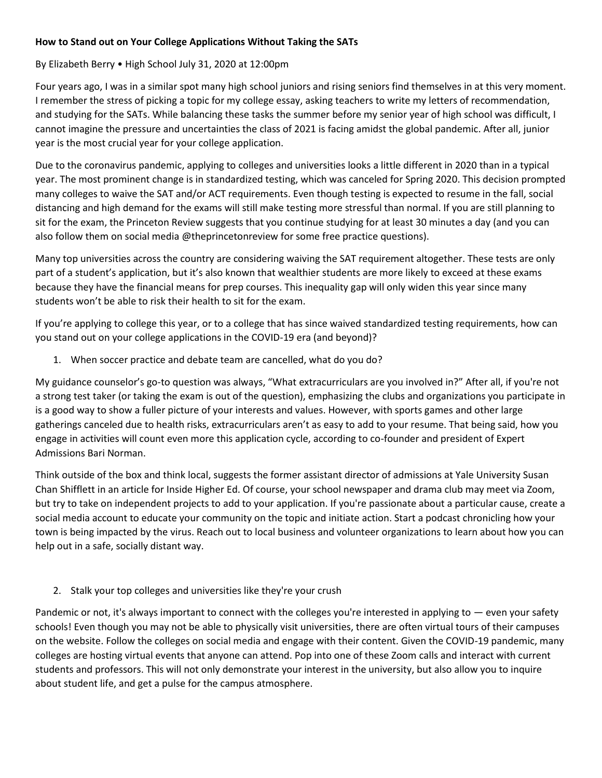## **How to Stand out on Your College Applications Without Taking the SATs**

## By Elizabeth Berry • High School July 31, 2020 at 12:00pm

Four years ago, I was in a similar spot many high school juniors and rising seniors find themselves in at this very moment. I remember the stress of picking a topic for my college essay, asking teachers to write my letters of recommendation, and studying for the SATs. While balancing these tasks the summer before my senior year of high school was difficult, I cannot imagine the pressure and uncertainties the class of 2021 is facing amidst the global pandemic. After all, junior year is the most crucial year for your college application.

Due to the coronavirus pandemic, applying to colleges and universities looks a little different in 2020 than in a typical year. The most prominent change is in standardized testing, which was canceled for Spring 2020. This decision prompted many colleges to waive the SAT and/or ACT requirements. Even though testing is expected to resume in the fall, social distancing and high demand for the exams will still make testing more stressful than normal. If you are still planning to sit for the exam, the Princeton Review suggests that you continue studying for at least 30 minutes a day (and you can also follow them on social media @theprincetonreview for some free practice questions).

Many top universities across the country are considering waiving the SAT requirement altogether. These tests are only part of a student's application, but it's also known that wealthier students are more likely to exceed at these exams because they have the financial means for prep courses. This inequality gap will only widen this year since many students won't be able to risk their health to sit for the exam.

If you're applying to college this year, or to a college that has since waived standardized testing requirements, how can you stand out on your college applications in the COVID-19 era (and beyond)?

1. When soccer practice and debate team are cancelled, what do you do?

My guidance counselor's go-to question was always, "What extracurriculars are you involved in?" After all, if you're not a strong test taker (or taking the exam is out of the question), emphasizing the clubs and organizations you participate in is a good way to show a fuller picture of your interests and values. However, with sports games and other large gatherings canceled due to health risks, extracurriculars aren't as easy to add to your resume. That being said, how you engage in activities will count even more this application cycle, according to co-founder and president of Expert Admissions Bari Norman.

Think outside of the box and think local, suggests the former assistant director of admissions at Yale University Susan Chan Shifflett in an article for Inside Higher Ed. Of course, your school newspaper and drama club may meet via Zoom, but try to take on independent projects to add to your application. If you're passionate about a particular cause, create a social media account to educate your community on the topic and initiate action. Start a podcast chronicling how your town is being impacted by the virus. Reach out to local business and volunteer organizations to learn about how you can help out in a safe, socially distant way.

2. Stalk your top colleges and universities like they're your crush

Pandemic or not, it's always important to connect with the colleges you're interested in applying to — even your safety schools! Even though you may not be able to physically visit universities, there are often virtual tours of their campuses on the website. Follow the colleges on social media and engage with their content. Given the COVID-19 pandemic, many colleges are hosting virtual events that anyone can attend. Pop into one of these Zoom calls and interact with current students and professors. This will not only demonstrate your interest in the university, but also allow you to inquire about student life, and get a pulse for the campus atmosphere.